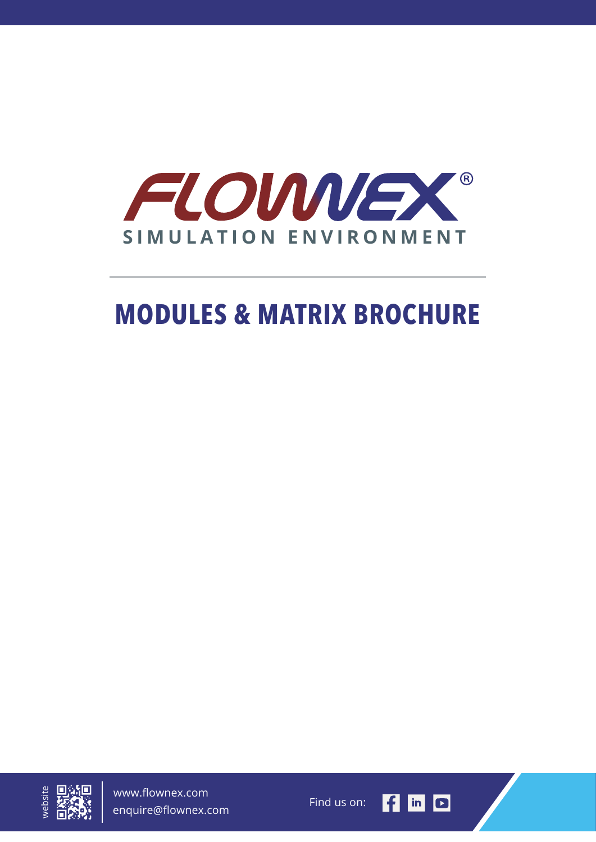

# **MODULES & MATRIX BROCHURE**



www.flownex.com enquire@flownex.com

Find us on:

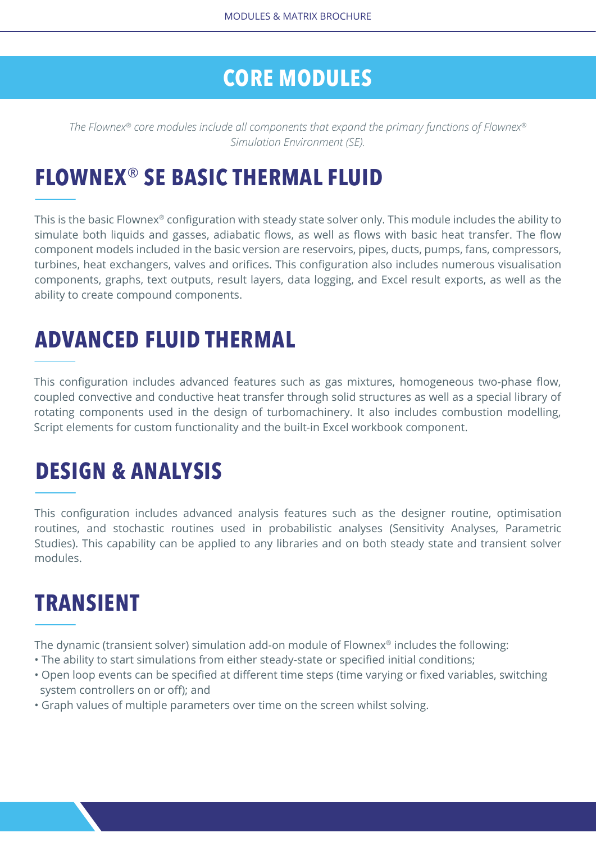#### **CORE MODULES**

*The Flownex® core modules include all components that expand the primary functions of Flownex® Simulation Environment (SE).*

### **FLOWNEX**® **SE BASIC THERMAL FLUID**

This is the basic Flownex® configuration with steady state solver only. This module includes the ability to simulate both liquids and gasses, adiabatic flows, as well as flows with basic heat transfer. The flow component models included in the basic version are reservoirs, pipes, ducts, pumps, fans, compressors, turbines, heat exchangers, valves and orifices. This configuration also includes numerous visualisation components, graphs, text outputs, result layers, data logging, and Excel result exports, as well as the ability to create compound components.

## **ADVANCED FLUID THERMAL**

This configuration includes advanced features such as gas mixtures, homogeneous two-phase flow, coupled convective and conductive heat transfer through solid structures as well as a special library of rotating components used in the design of turbomachinery. It also includes combustion modelling, Script elements for custom functionality and the built-in Excel workbook component.

### **DESIGN & ANALYSIS**

This configuration includes advanced analysis features such as the designer routine, optimisation routines, and stochastic routines used in probabilistic analyses (Sensitivity Analyses, Parametric Studies). This capability can be applied to any libraries and on both steady state and transient solver modules.

### **TRANSIENT**

The dynamic (transient solver) simulation add-on module of Flownex<sup>®</sup> includes the following:

- The ability to start simulations from either steady-state or specified initial conditions;
- Open loop events can be specified at different time steps (time varying or fixed variables, switching system controllers on or off); and
- Graph values of multiple parameters over time on the screen whilst solving.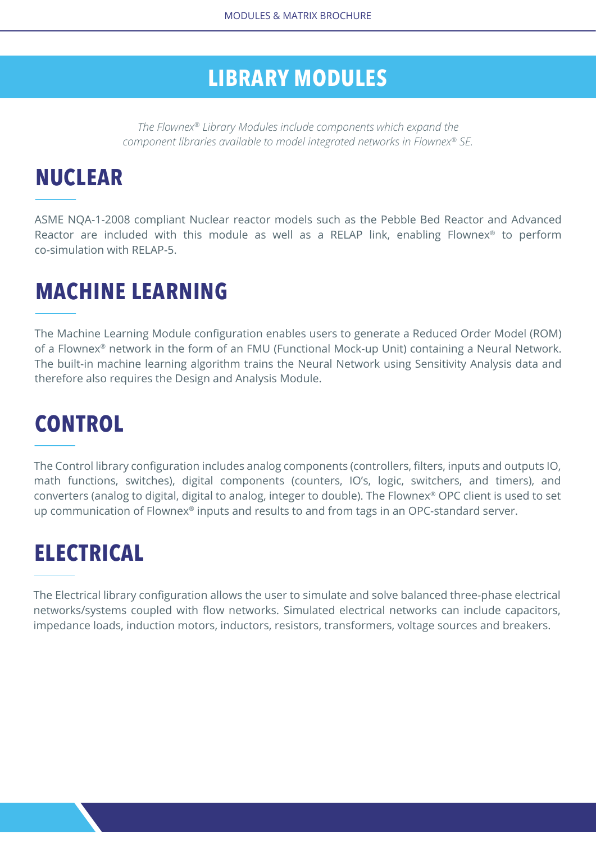#### **LIBRARY MODULES**

*The Flownex® Library Modules include components which expand the component libraries available to model integrated networks in Flownex® SE.*

## **NUCLEAR**

ASME NQA-1-2008 compliant Nuclear reactor models such as the Pebble Bed Reactor and Advanced Reactor are included with this module as well as a RELAP link, enabling Flownex<sup>®</sup> to perform co-simulation with RELAP-5.

## **MACHINE LEARNING**

The Machine Learning Module configuration enables users to generate a Reduced Order Model (ROM) of a Flownex® network in the form of an FMU (Functional Mock-up Unit) containing a Neural Network. The built-in machine learning algorithm trains the Neural Network using Sensitivity Analysis data and therefore also requires the Design and Analysis Module.

# **CONTROL**

The Control library configuration includes analog components (controllers, filters, inputs and outputs IO, math functions, switches), digital components (counters, IO's, logic, switchers, and timers), and converters (analog to digital, digital to analog, integer to double). The Flownex® OPC client is used to set up communication of Flownex® inputs and results to and from tags in an OPC-standard server.

## **ELECTRICAL**

The Electrical library configuration allows the user to simulate and solve balanced three-phase electrical networks/systems coupled with flow networks. Simulated electrical networks can include capacitors, impedance loads, induction motors, inductors, resistors, transformers, voltage sources and breakers.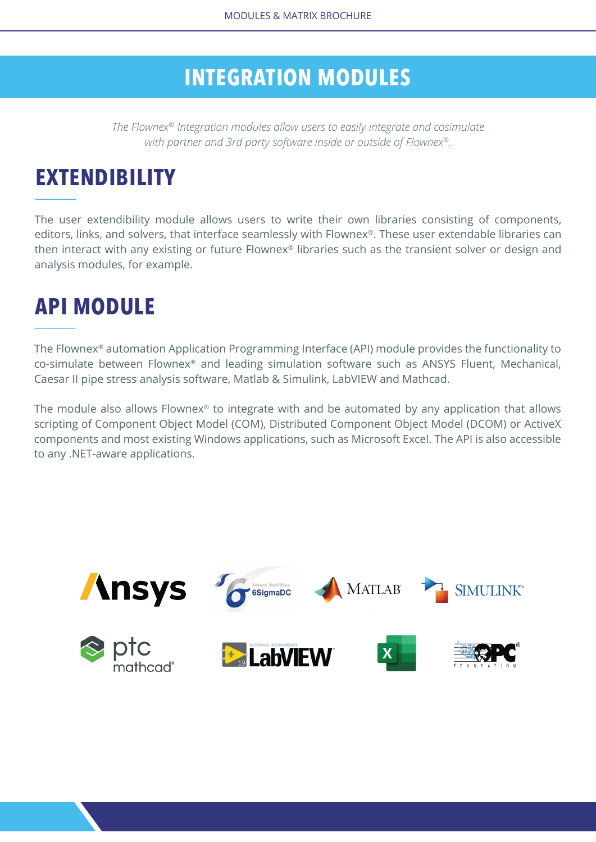#### **INTEGRATION MODULES**

*The Flownex® Integration modules allow users to easily integrate and cosimulate with partner and 3rd party software inside or outside of Flownex®.*

## **EXTENDIBILITY**

The user extendibility module allows users to write their own libraries consisting of components, editors, links, and solvers, that interface seamlessly with Flownex®. These user extendable libraries can then interact with any existing or future Flownex® libraries such as the transient solver or design and analysis modules, for example.

### **API MODULE**

The Flownex® automation Application Programming Interface (API) module provides the functionality to co-simulate between Flownex® and leading simulation software such as ANSYS Fluent, Mechanical, Caesar II pipe stress analysis software, Matlab & Simulink, LabVIEW and Mathcad.

The module also allows Flownex® to integrate with and be automated by any application that allows scripting of Component Object Model (COM), Distributed Component Object Model (DCOM) or ActiveX components and most existing Windows applications, such as Microsoft Excel. The API is also accessible to any .NET-aware applications.